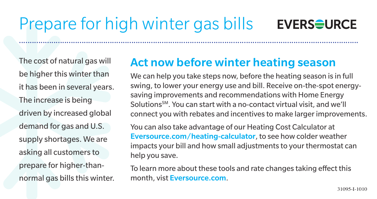## Prepare for high winter gas bills



The cost of natural gas will be higher this winter than it has been in several years. The increase is being driven by increased global demand for gas and U.S. supply shortages. We are asking all customers to prepare for higher-thannormal gas bills this winter.

## Act now before winter heating season

.............................................................................................................................................................

We can help you take steps now, before the heating season is in full swing, to lower your energy use and bill. Receive on-the-spot energysaving improvements and recommendations with Home Energy Solutions<sup>SM</sup>. You can start with a no-contact virtual visit, and we'll connect you with rebates and incentives to make larger improvements.

You can also take advantage of our Heating Cost Calculator at Eversource.com/heating-calculator, to see how colder weather impacts your bill and how small adjustments to your thermostat can help you save.

To learn more about these tools and rate changes taking effect this month, vist Eversource.com.